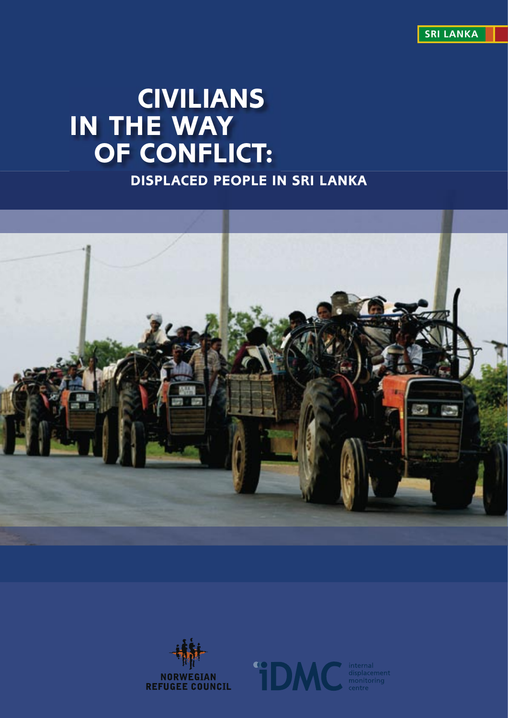**SRI LANKA**

# **CIVILIANS IN THE WAY OF CONFLICT:**

**DISPLACED PEOPLE IN SRI LANKA**





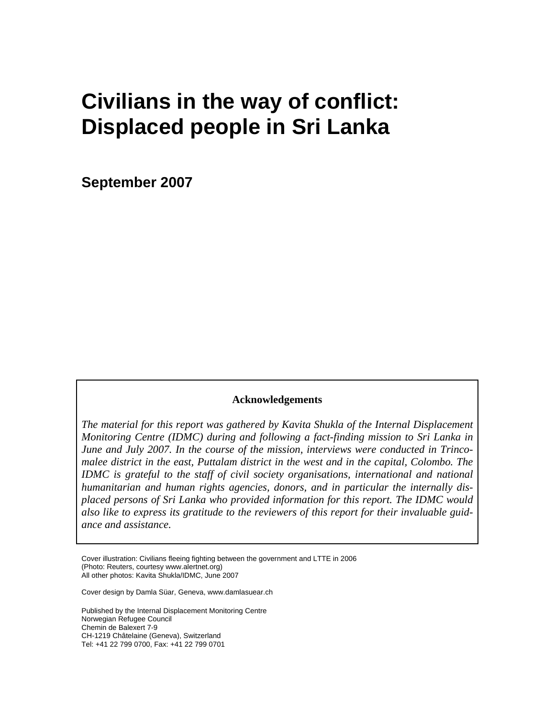# **Civilians in the way of conflict: Displaced people in Sri Lanka**

**September 2007** 

#### **Acknowledgements**

*The material for this report was gathered by Kavita Shukla of the Internal Displacement Monitoring Centre (IDMC) during and following a fact-finding mission to Sri Lanka in June and July 2007. In the course of the mission, interviews were conducted in Trincomalee district in the east, Puttalam district in the west and in the capital, Colombo. The IDMC is grateful to the staff of civil society organisations, international and national humanitarian and human rights agencies, donors, and in particular the internally displaced persons of Sri Lanka who provided information for this report. The IDMC would also like to express its gratitude to the reviewers of this report for their invaluable guidance and assistance.* 

Cover illustration: Civilians fleeing fighting between the government and LTTE in 2006 (Photo: Reuters, courtesy www.alertnet.org) All other photos: Kavita Shukla/IDMC, June 2007

Cover design by Damla Süar, Geneva, www.damlasuear.ch

Published by the Internal Displacement Monitoring Centre Norwegian Refugee Council Chemin de Balexert 7-9 CH-1219 Châtelaine (Geneva), Switzerland Tel: +41 22 799 0700, Fax: +41 22 799 0701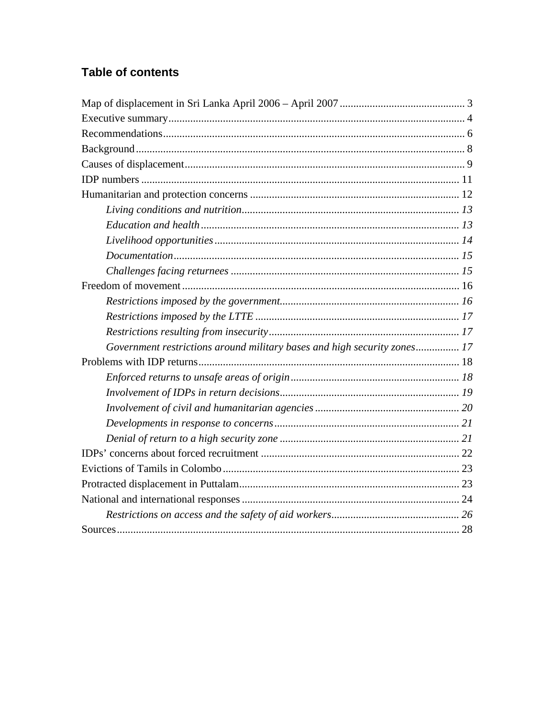# **Table of contents**

| Government restrictions around military bases and high security zones 17 |  |
|--------------------------------------------------------------------------|--|
|                                                                          |  |
|                                                                          |  |
|                                                                          |  |
|                                                                          |  |
|                                                                          |  |
|                                                                          |  |
|                                                                          |  |
|                                                                          |  |
|                                                                          |  |
|                                                                          |  |
|                                                                          |  |
|                                                                          |  |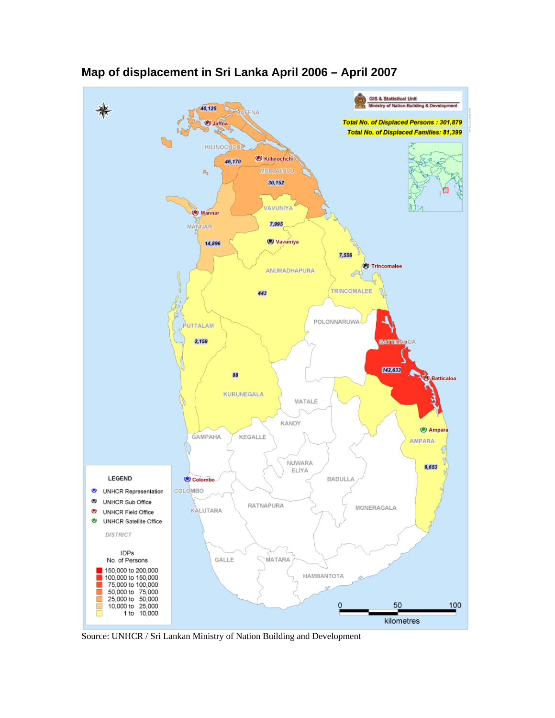

<span id="page-3-0"></span>**Map of displacement in Sri Lanka April 2006 – April 2007** 

Source: UNHCR / Sri Lankan Ministry of Nation Building and Development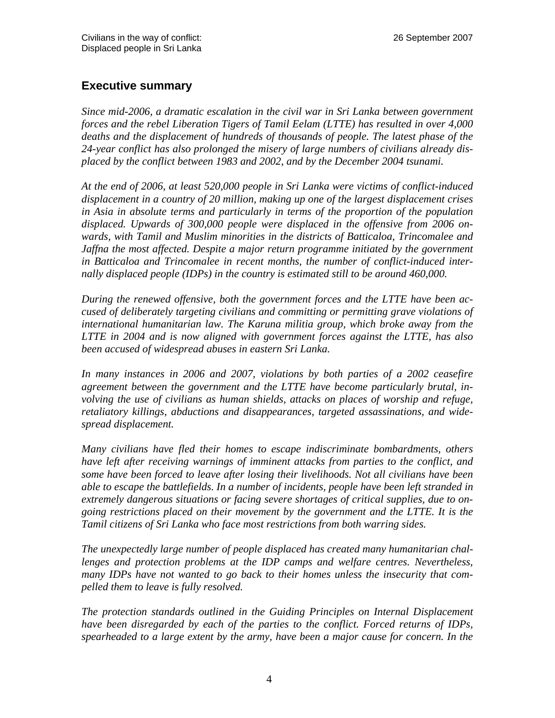## <span id="page-4-0"></span>**Executive summary**

*Since mid-2006, a dramatic escalation in the civil war in Sri Lanka between government forces and the rebel Liberation Tigers of Tamil Eelam (LTTE) has resulted in over 4,000 deaths and the displacement of hundreds of thousands of people. The latest phase of the 24-year conflict has also prolonged the misery of large numbers of civilians already displaced by the conflict between 1983 and 2002, and by the December 2004 tsunami.* 

*At the end of 2006, at least 520,000 people in Sri Lanka were victims of conflict-induced displacement in a country of 20 million, making up one of the largest displacement crises in Asia in absolute terms and particularly in terms of the proportion of the population displaced. Upwards of 300,000 people were displaced in the offensive from 2006 onwards, with Tamil and Muslim minorities in the districts of Batticaloa, Trincomalee and Jaffna the most affected. Despite a major return programme initiated by the government in Batticaloa and Trincomalee in recent months, the number of conflict-induced internally displaced people (IDPs) in the country is estimated still to be around 460,000.* 

*During the renewed offensive, both the government forces and the LTTE have been accused of deliberately targeting civilians and committing or permitting grave violations of international humanitarian law. The Karuna militia group, which broke away from the LTTE in 2004 and is now aligned with government forces against the LTTE, has also been accused of widespread abuses in eastern Sri Lanka.* 

*In many instances in 2006 and 2007, violations by both parties of a 2002 ceasefire agreement between the government and the LTTE have become particularly brutal, involving the use of civilians as human shields, attacks on places of worship and refuge, retaliatory killings, abductions and disappearances, targeted assassinations, and widespread displacement.* 

*Many civilians have fled their homes to escape indiscriminate bombardments, others have left after receiving warnings of imminent attacks from parties to the conflict, and some have been forced to leave after losing their livelihoods. Not all civilians have been able to escape the battlefields. In a number of incidents, people have been left stranded in extremely dangerous situations or facing severe shortages of critical supplies, due to ongoing restrictions placed on their movement by the government and the LTTE. It is the Tamil citizens of Sri Lanka who face most restrictions from both warring sides.* 

*The unexpectedly large number of people displaced has created many humanitarian challenges and protection problems at the IDP camps and welfare centres. Nevertheless, many IDPs have not wanted to go back to their homes unless the insecurity that compelled them to leave is fully resolved.* 

*The protection standards outlined in the Guiding Principles on Internal Displacement have been disregarded by each of the parties to the conflict. Forced returns of IDPs, spearheaded to a large extent by the army, have been a major cause for concern. In the*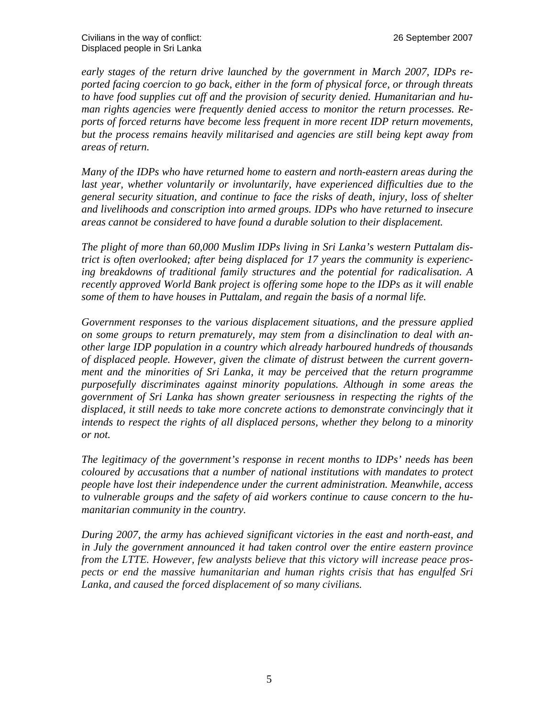<span id="page-5-0"></span>*early stages of the return drive launched by the government in March 2007, IDPs reported facing coercion to go back, either in the form of physical force, or through threats to have food supplies cut off and the provision of security denied. Humanitarian and human rights agencies were frequently denied access to monitor the return processes. Reports of forced returns have become less frequent in more recent IDP return movements, but the process remains heavily militarised and agencies are still being kept away from areas of return.* 

*Many of the IDPs who have returned home to eastern and north-eastern areas during the*  last year, whether voluntarily or involuntarily, have experienced difficulties due to the *general security situation, and continue to face the risks of death, injury, loss of shelter and livelihoods and conscription into armed groups. IDPs who have returned to insecure areas cannot be considered to have found a durable solution to their displacement.* 

*The plight of more than 60,000 Muslim IDPs living in Sri Lanka's western Puttalam district is often overlooked; after being displaced for 17 years the community is experiencing breakdowns of traditional family structures and the potential for radicalisation. A recently approved World Bank project is offering some hope to the IDPs as it will enable some of them to have houses in Puttalam, and regain the basis of a normal life.* 

*Government responses to the various displacement situations, and the pressure applied on some groups to return prematurely, may stem from a disinclination to deal with another large IDP population in a country which already harboured hundreds of thousands of displaced people. However, given the climate of distrust between the current government and the minorities of Sri Lanka, it may be perceived that the return programme purposefully discriminates against minority populations. Although in some areas the government of Sri Lanka has shown greater seriousness in respecting the rights of the*  displaced, it still needs to take more concrete actions to demonstrate convincingly that it *intends to respect the rights of all displaced persons, whether they belong to a minority or not.* 

*The legitimacy of the government's response in recent months to IDPs' needs has been coloured by accusations that a number of national institutions with mandates to protect people have lost their independence under the current administration. Meanwhile, access to vulnerable groups and the safety of aid workers continue to cause concern to the humanitarian community in the country.* 

*During 2007, the army has achieved significant victories in the east and north-east, and in July the government announced it had taken control over the entire eastern province from the LTTE. However, few analysts believe that this victory will increase peace prospects or end the massive humanitarian and human rights crisis that has engulfed Sri Lanka, and caused the forced displacement of so many civilians.*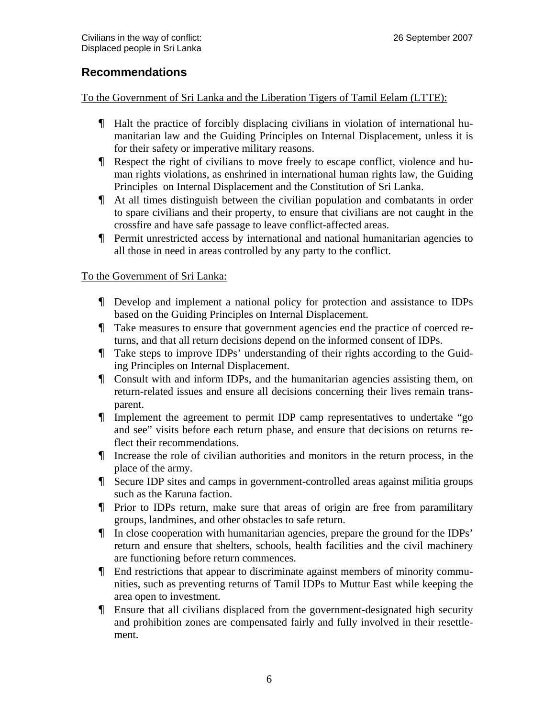## **Recommendations**

To the Government of Sri Lanka and the Liberation Tigers of Tamil Eelam (LTTE):

- Halt the practice of forcibly displacing civilians in violation of international humanitarian law and the Guiding Principles on Internal Displacement, unless it is for their safety or imperative military reasons.
- Respect the right of civilians to move freely to escape conflict, violence and human rights violations, as enshrined in international human rights law, the Guiding Principles on Internal Displacement and the Constitution of Sri Lanka.
- At all times distinguish between the civilian population and combatants in order to spare civilians and their property, to ensure that civilians are not caught in the crossfire and have safe passage to leave conflict-affected areas.
- Permit unrestricted access by international and national humanitarian agencies to all those in need in areas controlled by any party to the conflict.

#### To the Government of Sri Lanka:

- Develop and implement a national policy for protection and assistance to IDPs based on the Guiding Principles on Internal Displacement.
- Take measures to ensure that government agencies end the practice of coerced returns, and that all return decisions depend on the informed consent of IDPs.
- Take steps to improve IDPs' understanding of their rights according to the Guiding Principles on Internal Displacement.
- Consult with and inform IDPs, and the humanitarian agencies assisting them, on return-related issues and ensure all decisions concerning their lives remain transparent.
- Implement the agreement to permit IDP camp representatives to undertake "go and see" visits before each return phase, and ensure that decisions on returns reflect their recommendations.
- Increase the role of civilian authorities and monitors in the return process, in the place of the army.
- Secure IDP sites and camps in government-controlled areas against militia groups such as the Karuna faction.
- Prior to IDPs return, make sure that areas of origin are free from paramilitary groups, landmines, and other obstacles to safe return.
- In close cooperation with humanitarian agencies, prepare the ground for the IDPs' return and ensure that shelters, schools, health facilities and the civil machinery are functioning before return commences.
- End restrictions that appear to discriminate against members of minority communities, such as preventing returns of Tamil IDPs to Muttur East while keeping the area open to investment.
- Ensure that all civilians displaced from the government-designated high security and prohibition zones are compensated fairly and fully involved in their resettlement.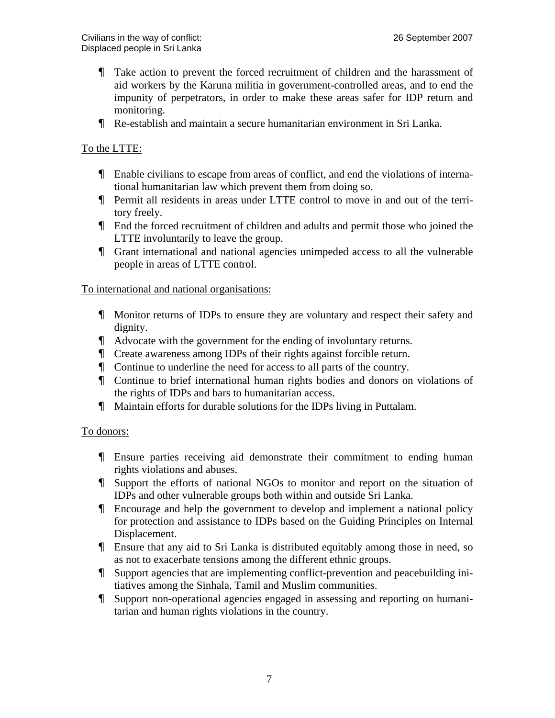- Take action to prevent the forced recruitment of children and the harassment of aid workers by the Karuna militia in government-controlled areas, and to end the impunity of perpetrators, in order to make these areas safer for IDP return and monitoring.
- Re-establish and maintain a secure humanitarian environment in Sri Lanka.

#### To the LTTE:

- Enable civilians to escape from areas of conflict, and end the violations of international humanitarian law which prevent them from doing so.
- Permit all residents in areas under LTTE control to move in and out of the territory freely.
- End the forced recruitment of children and adults and permit those who joined the LTTE involuntarily to leave the group.
- Grant international and national agencies unimpeded access to all the vulnerable people in areas of LTTE control.

#### To international and national organisations:

- Monitor returns of IDPs to ensure they are voluntary and respect their safety and dignity.
- Advocate with the government for the ending of involuntary returns.
- Create awareness among IDPs of their rights against forcible return.
- Continue to underline the need for access to all parts of the country.
- Continue to brief international human rights bodies and donors on violations of the rights of IDPs and bars to humanitarian access.
- Maintain efforts for durable solutions for the IDPs living in Puttalam.

#### To donors:

- Ensure parties receiving aid demonstrate their commitment to ending human rights violations and abuses.
- Support the efforts of national NGOs to monitor and report on the situation of IDPs and other vulnerable groups both within and outside Sri Lanka.
- Encourage and help the government to develop and implement a national policy for protection and assistance to IDPs based on the Guiding Principles on Internal Displacement.
- Ensure that any aid to Sri Lanka is distributed equitably among those in need, so as not to exacerbate tensions among the different ethnic groups.
- Support agencies that are implementing conflict-prevention and peacebuilding initiatives among the Sinhala, Tamil and Muslim communities.
- Support non-operational agencies engaged in assessing and reporting on humanitarian and human rights violations in the country.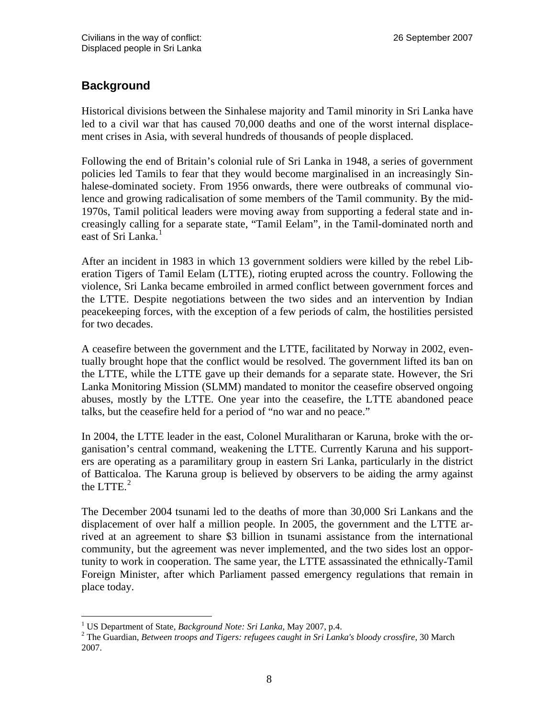# <span id="page-8-0"></span>**Background**

Historical divisions between the Sinhalese majority and Tamil minority in Sri Lanka have led to a civil war that has caused 70,000 deaths and one of the worst internal displacement crises in Asia, with several hundreds of thousands of people displaced.

Following the end of Britain's colonial rule of Sri Lanka in 1948, a series of government policies led Tamils to fear that they would become marginalised in an increasingly Sinhalese-dominated society. From 1956 onwards, there were outbreaks of communal violence and growing radicalisation of some members of the Tamil community. By the mid-1970s, Tamil political leaders were moving away from supporting a federal state and increasingly callin[g](#page-8-1) for a separate state, "Tamil Eelam", in the Tamil-dominated north and east of Sri Lanka.<sup>1</sup>

After an incident in 1983 in which 13 government soldiers were killed by the rebel Liberation Tigers of Tamil Eelam (LTTE), rioting erupted across the country. Following the violence, Sri Lanka became embroiled in armed conflict between government forces and the LTTE. Despite negotiations between the two sides and an intervention by Indian peacekeeping forces, with the exception of a few periods of calm, the hostilities persisted for two decades.

A ceasefire between the government and the LTTE, facilitated by Norway in 2002, eventually brought hope that the conflict would be resolved. The government lifted its ban on the LTTE, while the LTTE gave up their demands for a separate state. However, the Sri Lanka Monitoring Mission (SLMM) mandated to monitor the ceasefire observed ongoing abuses, mostly by the LTTE. One year into the ceasefire, the LTTE abandoned peace talks, but the ceasefire held for a period of "no war and no peace."

In 2004, the LTTE leader in the east, Colonel Muralitharan or Karuna, broke with the organisation's central command, weakening the LTTE. Currently Karuna and his supporters are operating as a paramilitary group in eastern Sri Lanka, particularly in the district of Battica[lo](#page-8-2)a. The Karuna group is believed by observers to be aiding the army against the LTTE. $^{2}$ 

The December 2004 tsunami led to the deaths of more than 30,000 Sri Lankans and the displacement of over half a million people. In 2005, the government and the LTTE arrived at an agreement to share \$3 billion in tsunami assistance from the international community, but the agreement was never implemented, and the two sides lost an opportunity to work in cooperation. The same year, the LTTE assassinated the ethnically-Tamil Foreign Minister, after which Parliament passed emergency regulations that remain in place today.

 $\overline{a}$ <sup>1</sup> US Department of State, *Background Note: Sri Lanka*, May 2007, p.4.<br><sup>2</sup> The Guardian, *Batusan treeps and Tiggrey refugese gaught in Sri Lank* 

<span id="page-8-2"></span><span id="page-8-1"></span>The Guardian, *Between troops and Tigers: refugees caught in Sri Lanka's bloody crossfire,* 30 March 2007.